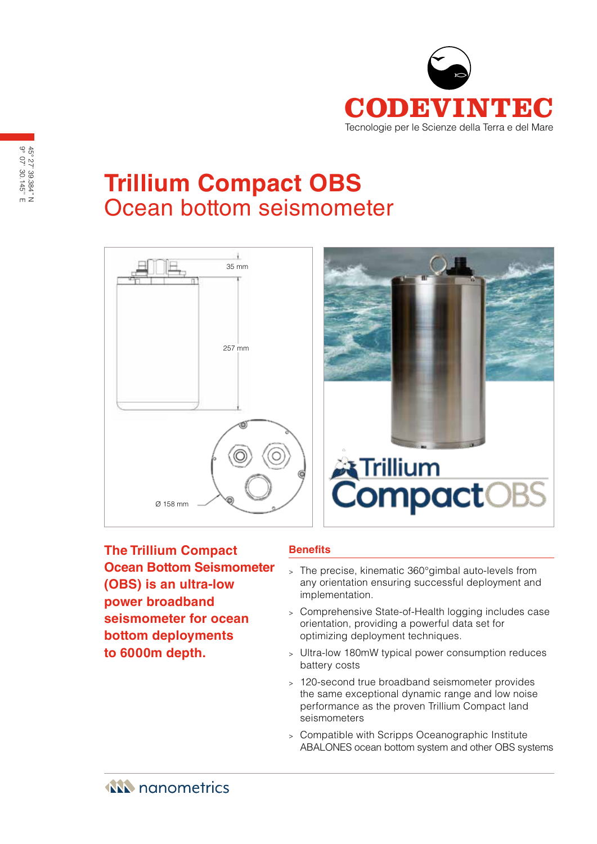

# **Trillium Compact OBS** Ocean bottom seismometer



**The Trillium Compact Ocean Bottom Seismometer (OBS) is an ultra-low power broadband seismometer for ocean bottom deployments to 6000m depth.**

## **Benefits**

- The precise, kinematic 360°gimbal auto-levels from any orientation ensuring successful deployment and implementation.
- <sup>&</sup>gt; Comprehensive State-of-Health logging includes case orientation, providing a powerful data set for optimizing deployment techniques.
- <sup>&</sup>gt; Ultra-low 180mW typical power consumption reduces battery costs
- <sup>&</sup>gt; 120-second true broadband seismometer provides the same exceptional dynamic range and low noise performance as the proven Trillium Compact land seismometers
- <sup>&</sup>gt; Compatible with Scripps Oceanographic Institute ABALONES ocean bottom system and other OBS systems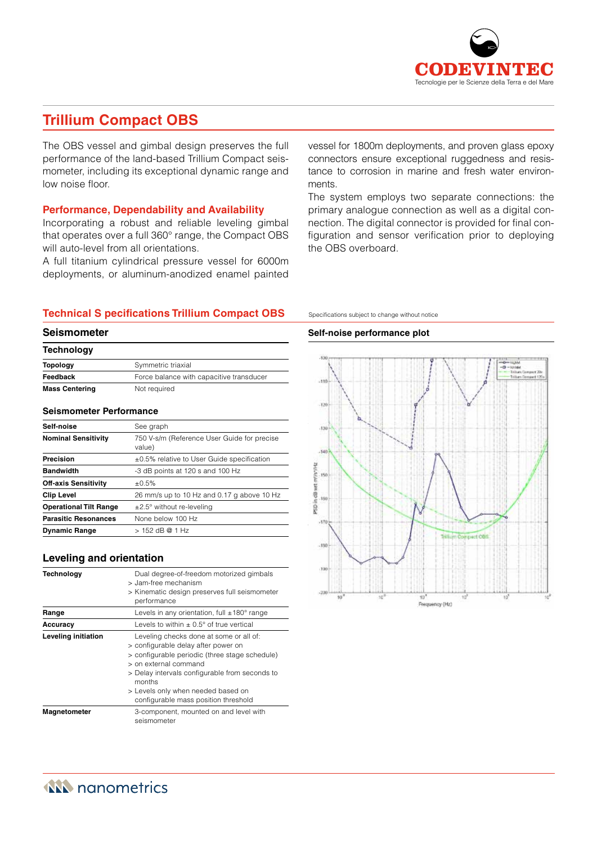

## **Trillium Compact OBS**

The OBS vessel and gimbal design preserves the full performance of the land-based Trillium Compact seismometer, including its exceptional dynamic range and low noise floor.

#### **Performance, Dependability and Availability**

Incorporating a robust and reliable leveling gimbal that operates over a full 360° range, the Compact OBS will auto-level from all orientations.

A full titanium cylindrical pressure vessel for 6000m deployments, or aluminum-anodized enamel painted

vessel for 1800m deployments, and proven glass epoxy connectors ensure exceptional ruggedness and resistance to corrosion in marine and fresh water environments.

The system employs two separate connections: the primary analogue connection as well as a digital connection. The digital connector is provided for final configuration and sensor verification prior to deploying the OBS overboard.

### **Technical S pecifications Trillium Compact OBS**

#### **Seismometer**

| <b>Technology</b>     |                                          |
|-----------------------|------------------------------------------|
| <b>Topology</b>       | Symmetric triaxial                       |
| Feedback              | Force balance with capacitive transducer |
| <b>Mass Centering</b> | Not required                             |

#### **Seismometer Performance**

| Self-noise                    | See graph                                             |
|-------------------------------|-------------------------------------------------------|
| <b>Nominal Sensitivity</b>    | 750 V-s/m (Reference User Guide for precise<br>value) |
| Precision                     | ±0.5% relative to User Guide specification            |
| <b>Bandwidth</b>              | -3 dB points at 120 s and 100 Hz                      |
| <b>Off-axis Sensitivity</b>   | $+0.5%$                                               |
| <b>Clip Level</b>             | 26 mm/s up to 10 Hz and 0.17 g above 10 Hz            |
| <b>Operational Tilt Range</b> | $\pm 2.5^{\circ}$ without re-leveling                 |
| <b>Parasitic Resonances</b>   | None below 100 Hz                                     |
| <b>Dynamic Range</b>          | $> 152$ dB @ 1 Hz                                     |

## **Leveling and orientation**

| <b>Technology</b>   | Dual degree-of-freedom motorized gimbals<br>> Jam-free mechanism<br>> Kinematic design preserves full seismometer<br>performance                                                                                                                                                                    |
|---------------------|-----------------------------------------------------------------------------------------------------------------------------------------------------------------------------------------------------------------------------------------------------------------------------------------------------|
| Range               | Levels in any orientation, full $\pm 180^\circ$ range                                                                                                                                                                                                                                               |
| Accuracy            | Levels to within $\pm$ 0.5° of true vertical                                                                                                                                                                                                                                                        |
| Leveling initiation | Leveling checks done at some or all of:<br>> configurable delay after power on<br>> configurable periodic (three stage schedule)<br>> on external command<br>> Delay intervals configurable from seconds to<br>months<br>> Levels only when needed based on<br>configurable mass position threshold |
| Magnetometer        | 3-component, mounted on and level with<br>seismometer                                                                                                                                                                                                                                               |

#### Specifications subject to change without notice

#### **Self-noise performance plot**